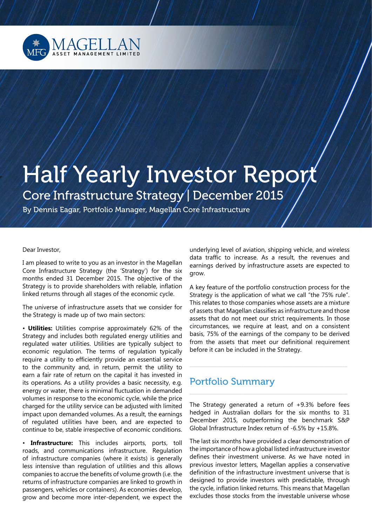

# **Half Yearly Investor Report** Core Infrastructure Strategy | December 2015

By Dennis Eagar, Portfolio Manager, Magellan Core Infrastructure

Dear Investor,

I am pleased to write to you as an investor in the Magellan Core Infrastructure Strategy (the 'Strategy') for the six months ended 31 December 2015. The objective of the Strategy is to provide shareholders with reliable, inflation linked returns through all stages of the economic cycle.

The universe of infrastructure assets that we consider for the Strategy is made up of two main sectors:

• **Utilities:** Utilities comprise approximately 62% of the Strategy and includes both regulated energy utilities and regulated water utilities. Utilities are typically subject to economic regulation. The terms of regulation typically require a utility to efficiently provide an essential service to the community and, in return, permit the utility to earn a fair rate of return on the capital it has invested in its operations. As a utility provides a basic necessity, e.g. energy or water, there is minimal fluctuation in demanded volumes in response to the economic cycle, while the price charged for the utility service can be adjusted with limited impact upon demanded volumes. As a result, the earnings of regulated utilities have been, and are expected to continue to be, stable irrespective of economic conditions.

• **Infrastructure:** This includes airports, ports, toll roads, and communications infrastructure. Regulation of infrastructure companies (where it exists) is generally less intensive than regulation of utilities and this allows companies to accrue the benefits of volume growth (i.e. the returns of infrastructure companies are linked to growth in passengers, vehicles or containers). As economies develop, grow and become more inter-dependent, we expect the underlying level of aviation, shipping vehicle, and wireless data traffic to increase. As a result, the revenues and earnings derived by infrastructure assets are expected to grow.

A key feature of the portfolio construction process for the Strategy is the application of what we call "the 75% rule". This relates to those companies whose assets are a mixture of assets that Magellan classifies as infrastructure and those assets that do not meet our strict requirements. In those circumstances, we require at least, and on a consistent basis, 75% of the earnings of the company to be derived from the assets that meet our definitional requirement before it can be included in the Strategy.

\_\_\_\_\_\_\_\_\_\_\_\_\_\_\_\_\_\_\_\_\_\_\_\_\_\_\_\_\_\_\_\_\_\_\_\_\_\_\_\_\_\_\_\_\_\_\_\_\_\_\_\_\_\_\_\_\_\_\_\_\_\_\_\_

## Portfolio Summary

The Strategy generated a return of +9.3% before fees hedged in Australian dollars for the six months to 31 December 2015, outperforming the benchmark S&P Global Infrastructure Index return of -6.5% by +15.8%.

The last six months have provided a clear demonstration of the importance of how a global listed infrastructure investor defines their investment universe. As we have noted in previous investor letters, Magellan applies a conservative definition of the infrastructure investment universe that is designed to provide investors with predictable, through the cycle, inflation linked returns. This means that Magellan excludes those stocks from the investable universe whose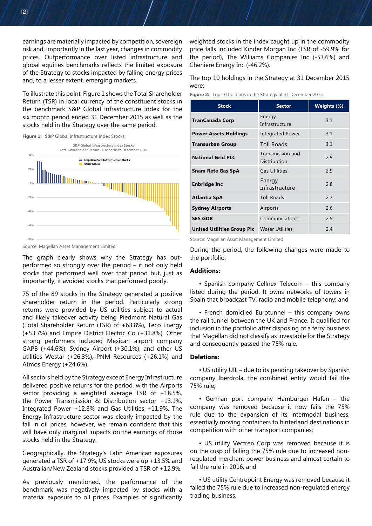earnings are materially impacted by competition, sovereign risk and, importantly in the last year, changes in commodity prices. Outperformance over listed infrastructure and global equities benchmarks reflects the limited exposure of the Strategy to stocks impacted by falling energy prices and, to a lesser extent, emerging markets.

To illustrate this point, Figure 1 shows the Total Shareholder Return (TSR) in local currency of the constituent stocks in the benchmark S&P Global Infrastructure Index for the six month period ended 31 December 2015 as well as the stocks held in the Strategy over the same period.

Figure 1: S&P Global Infrastructure Index Stocks.



Source: Magellan Asset Management Limited

The graph clearly shows why the Strategy has outperformed so strongly over the period – it not only held stocks that performed well over that period but, just as importantly, it avoided stocks that performed poorly.

75 of the 89 stocks in the Strategy generated a positive shareholder return in the period. Particularly strong returns were provided by US utilities subject to actual and likely takeover activity being Piedmont Natural Gas (Total Shareholder Return (TSR) of +63.8%), Teco Energy (+53.7%) and Empire District Electric Co (+31.8%). Other strong performers included Mexican airport company GAPB (+44.6%), Sydney Airport (+30.1%), and other US utilities Westar (+26.3%), PNM Resources (+26.1%) and Atmos Energy (+24.6%).

All sectors held by the Strategy except Energy Infrastructure delivered positive returns for the period, with the Airports sector providing a weighted average TSR of +18.5%, the Power Transmission & Distribution sector +13.1%, Integrated Power +12.8% and Gas Utilities +11.9%. The Energy Infrastructure sector was clearly impacted by the fall in oil prices, however, we remain confident that this will have only marginal impacts on the earnings of those stocks held in the Strategy.

Geographically, the Strategy's Latin American exposures generated a TSR of +17.9%, US stocks were up +13.5% and Australian/New Zealand stocks provided a TSR of +12.9%.

As previously mentioned, the performance of the benchmark was negatively impacted by stocks with a material exposure to oil prices. Examples of significantly

weighted stocks in the index caught up in the commodity price falls included Kinder Morgan Inc (TSR of -59.9% for the period), The Williams Companies Inc (-53.6%) and Cheniere Energy Inc (-46.2%).

The top 10 holdings in the Strategy at 31 December 2015 were:

**Figure 2:** Top 10 holdings in the Strategy at 31 December 2015:

| <b>Stock</b>                                      | <b>Sector</b>                    | Weights (%) |
|---------------------------------------------------|----------------------------------|-------------|
| <b>TranCanada Corp</b>                            | Energy<br>Infrastructure         | 3.1         |
| <b>Power Assets Holdings</b>                      | <b>Integrated Power</b>          | 3.1         |
| <b>Transurban Group</b>                           | <b>Toll Roads</b>                | 3.1         |
| <b>National Grid PLC</b>                          | Transmission and<br>Distribution | 2.9         |
| <b>Snam Rete Gas SpA</b>                          | <b>Gas Utilities</b>             | 2.9         |
| <b>Enbridge Inc</b>                               | Energy<br>Infrastructure         | 2.8         |
| Atlantia SpA                                      | <b>Toll Roads</b>                | 2.7         |
| <b>Sydney Airports</b>                            | Airports                         | 2.6         |
| <b>SES GDR</b>                                    | Communications                   | 2.5         |
| <b>United Utilities Group Plc</b> Water Utilities |                                  | 2.4         |

Source: Magellan Asset Management Limited

During the period, the following changes were made to the portfolio:

### **Additions:**

• Spanish company Cellnex Telecom – this company listed during the period. It owns networks of towers in Spain that broadcast TV, radio and mobile telephony; and

• French domiciled Eurotunnel – this company owns the rail tunnel between the UK and France. It qualified for inclusion in the portfolio after disposing of a ferry business that Magellan did not classify as investable for the Strategy and consequently passed the 75% rule.

#### **Deletions:**

• US utility UIL – due to its pending takeover by Spanish company Iberdrola, the combined entity would fail the 75% rule;

• German port company Hamburger Hafen – the company was removed because it now fails the 75% rule due to the expansion of its intermodal business, essentially moving containers to hinterland destinations in competition with other transport companies;

• US utility Vectren Corp was removed because it is on the cusp of failing the 75% rule due to increased nonregulated merchant power business and almost certain to fail the rule in 2016; and

• US utility Centrepoint Energy was removed because it failed the 75% rule due to increased non-regulated energy trading business.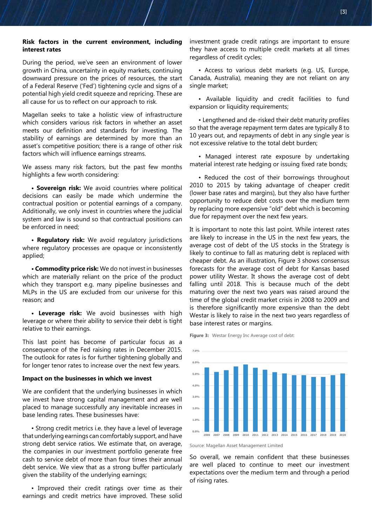#### **Risk factors in the current environment, including interest rates**

During the period, we've seen an environment of lower growth in China, uncertainty in equity markets, continuing downward pressure on the prices of resources, the start of a Federal Reserve ('Fed') tightening cycle and signs of a potential high yield credit squeeze and repricing. These are all cause for us to reflect on our approach to risk.

Magellan seeks to take a holistic view of infrastructure which considers various risk factors in whether an asset meets our definition and standards for investing. The stability of earnings are determined by more than an asset's competitive position; there is a range of other risk factors which will influence earnings streams.

We assess many risk factors, but the past few months highlights a few worth considering:

**• Sovereign risk:** We avoid countries where political decisions can easily be made which undermine the contractual position or potential earnings of a company. Additionally, we only invest in countries where the judicial system and law is sound so that contractual positions can be enforced in need;

**• Regulatory risk:** We avoid regulatory jurisdictions where regulatory processes are opaque or inconsistently applied;

**• Commodity price risk:** We do not invest in businesses which are materially reliant on the price of the product which they transport e.g. many pipeline businesses and MLPs in the US are excluded from our universe for this reason; and

**• Leverage risk:** We avoid businesses with high leverage or where their ability to service their debt is tight relative to their earnings.

This last point has become of particular focus as a consequence of the Fed raising rates in December 2015. The outlook for rates is for further tightening globally and for longer tenor rates to increase over the next few years.

#### **Impact on the businesses in which we invest**

We are confident that the underlying businesses in which we invest have strong capital management and are well placed to manage successfully any inevitable increases in base lending rates. These businesses have:

• Strong credit metrics i.e. they have a level of leverage that underlying earnings can comfortably support, and have strong debt service ratios. We estimate that, on average, the companies in our investment portfolio generate free cash to service debt of more than four times their annual debt service. We view that as a strong buffer particularly given the stability of the underlying earnings;

• Improved their credit ratings over time as their earnings and credit metrics have improved. These solid investment grade credit ratings are important to ensure they have access to multiple credit markets at all times regardless of credit cycles;

• Access to various debt markets (e.g. US, Europe, Canada, Australia), meaning they are not reliant on any single market;

• Available liquidity and credit facilities to fund expansion or liquidity requirements;

• Lengthened and de-risked their debt maturity profiles so that the average repayment term dates are typically 8 to 10 years out, and repayments of debt in any single year is not excessive relative to the total debt burden;

• Managed interest rate exposure by undertaking material interest rate hedging or issuing fixed rate bonds;

• Reduced the cost of their borrowings throughout 2010 to 2015 by taking advantage of cheaper credit (lower base rates and margins), but they also have further opportunity to reduce debt costs over the medium term by replacing more expensive "old" debt which is becoming due for repayment over the next few years.

It is important to note this last point. While interest rates are likely to increase in the US in the next few years, the average cost of debt of the US stocks in the Strategy is likely to continue to fall as maturing debt is replaced with cheaper debt. As an illustration, Figure 3 shows consensus forecasts for the average cost of debt for Kansas based power utility Westar. It shows the average cost of debt falling until 2018. This is because much of the debt maturing over the next two years was raised around the time of the global credit market crisis in 2008 to 2009 and is therefore significantly more expensive than the debt Westar is likely to raise in the next two years regardless of base interest rates or margins.

**Figure 3:** Westar Energy Inc Average cost of debt:



Source: Magellan Asset Management Limited

So overall, we remain confident that these businesses are well placed to continue to meet our investment expectations over the medium term and through a period of rising rates.